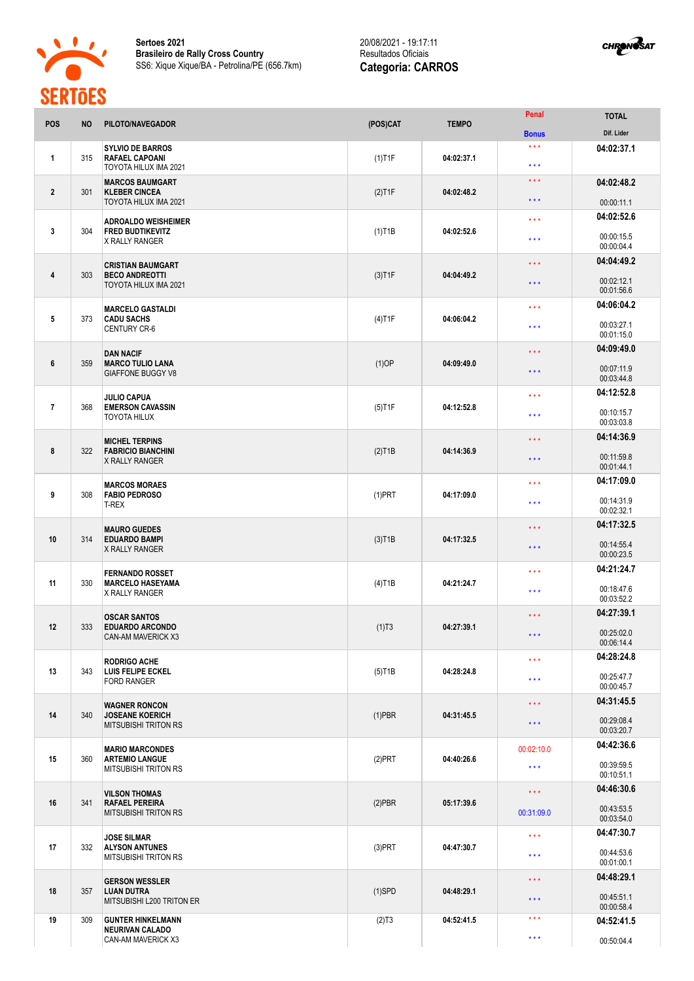

**Sertoes 2021 Brasileiro de Rally Cross Country** SS6: Xique Xique/BA - Petrolina/PE (656.7km)

## 20/08/2021 - 19:17:1 1 Resultados Oficiais **Categoria: CARROS**



| <b>POS</b>     | <b>NO</b> | PILOTO/NAVEGADOR                                                               | (POS)CAT               | <b>TEMPO</b> | Penal                                      | <b>TOTAL</b>             |
|----------------|-----------|--------------------------------------------------------------------------------|------------------------|--------------|--------------------------------------------|--------------------------|
|                |           |                                                                                |                        |              | <b>Bonus</b>                               | Dif. Lider               |
| 1              | 315       | <b>SYLVIO DE BARROS</b><br><b>RAFAEL CAPOANI</b><br>TOYOTA HILUX IMA 2021      | $(1)$ T1F              | 04:02:37.1   | $\star \star \star$<br>$\star \star \star$ | 04:02:37.1               |
| $\overline{2}$ | 301       | <b>MARCOS BAUMGART</b><br><b>KLEBER CINCEA</b>                                 | $(2)$ T1F              | 04:02:48.2   | $\star$ $\star$ $\star$                    | 04:02:48.2               |
|                |           | TOYOTA HILUX IMA 2021                                                          |                        |              | $\star \star \star$                        | 00:00:11.1               |
| 3              | 304       | <b>ADROALDO WEISHEIMER</b><br><b>FRED BUDTIKEVITZ</b><br>X RALLY RANGER        | $(1)$ T1B              | 04:02:52.6   | $\star \star \star$                        | 04:02:52.6               |
|                |           |                                                                                |                        |              | $\star \star \star$                        | 00:00:15.5<br>00:00:04.4 |
|                |           | <b>CRISTIAN BAUMGART</b>                                                       |                        | 04:04:49.2   | $\star \star \star$                        | 04:04:49.2               |
| 4              | 303       | <b>BECO ANDREOTTI</b><br>TOYOTA HILUX IMA 2021                                 | $(3)$ T1F              |              | $* * *$                                    | 00:02:12.1<br>00:01:56.6 |
|                |           | <b>MARCELO GASTALDI</b>                                                        |                        |              | $\star \star \star$                        | 04:06:04.2               |
| 5              | 373       | <b>CADU SACHS</b><br><b>CENTURY CR-6</b>                                       | $(4)$ T1F              | 04:06:04.2   | $\star \star \star$                        | 00:03:27.1<br>00:01:15.0 |
|                |           |                                                                                |                        |              | $\star$ $\star$ $\star$                    | 04:09:49.0               |
| 6              | 359       | <b>DAN NACIF</b><br><b>MARCO TULIO LANA</b><br><b>GIAFFONE BUGGY V8</b>        | $(1)$ OP               | 04:09:49.0   | $\star \star \star$                        | 00:07:11.9<br>00:03:44.8 |
|                |           |                                                                                |                        |              | $\star \star \star$                        | 04:12:52.8               |
| $\overline{7}$ | 368       | <b>JULIO CAPUA</b><br><b>EMERSON CAVASSIN</b><br><b>TOYOTA HILUX</b>           | $(5)$ T1F              | 04:12:52.8   |                                            |                          |
|                |           |                                                                                |                        |              | $\star \star \star$                        | 00:10:15.7<br>00:03:03.8 |
|                |           | <b>MICHEL TERPINS</b>                                                          |                        |              | $\star \star \star$                        | 04:14:36.9               |
| 8              | 322       | <b>FABRICIO BIANCHINI</b><br>X RALLY RANGER                                    | $(2)$ T <sub>1</sub> B | 04:14:36.9   | $\star \star \star$                        | 00:11:59.8<br>00:01:44.1 |
|                | 308       | <b>MARCOS MORAES</b><br><b>FABIO PEDROSO</b><br><b>T-REX</b>                   | $(1)$ PRT              | 04:17:09.0   | $\star \star \star$                        | 04:17:09.0               |
| 9              |           |                                                                                |                        |              | $***$                                      | 00:14:31.9<br>00:02:32.1 |
|                |           | <b>MAURO GUEDES</b>                                                            |                        |              | $* * *$                                    | 04:17:32.5               |
| 10             | 314       | <b>EDUARDO BAMPI</b><br>X RALLY RANGER                                         | $(3)$ T <sub>1</sub> B | 04:17:32.5   | $\star \star \star$                        | 00:14:55.4<br>00:00:23.5 |
|                |           | <b>FERNANDO ROSSET</b>                                                         |                        |              | $\star \star \star$                        | 04:21:24.7               |
| 11             | 330       | <b>MARCELO HASEYAMA</b><br><b>X RALLY RANGER</b>                               | $(4)$ T1B              | 04:21:24.7   | $\star \star \star$                        | 00:18:47.6               |
|                |           |                                                                                |                        |              |                                            | 00:03:52.2               |
|                | 333       | <b>OSCAR SANTOS</b><br><b>EDUARDO ARCONDO</b><br>CAN-AM MAVERICK X3            | $(1)$ T3               | 04:27:39.1   | $\star$ $\star$ $\star$                    | 04:27:39.1               |
| 12             |           |                                                                                |                        |              | $\star\star\star$                          | 00:25:02.0<br>00:06:14.4 |
|                |           | <b>RODRIGO ACHE</b>                                                            |                        |              | $\star \star \star$                        | 04:28:24.8               |
| 13             | 343       | LUIS FELIPE ECKEL<br><b>FORD RANGER</b>                                        | $(5)$ T1B              | 04:28:24.8   |                                            | 00:25:47.7               |
|                |           |                                                                                |                        |              | $\star\star\star$                          | 00:00:45.7               |
|                | 340       | <b>WAGNER RONCON</b><br><b>JOSEANE KOERICH</b><br><b>MITSUBISHI TRITON RS</b>  | $(1)$ PBR              | 04:31:45.5   | $\star\star\star$                          | 04:31:45.5               |
| 14             |           |                                                                                |                        |              | $\star \star \star$                        | 00:29:08.4<br>00:03:20.7 |
|                | 360       | <b>MARIO MARCONDES</b><br><b>ARTEMIO LANGUE</b><br><b>MITSUBISHI TRITON RS</b> | $(2)$ PRT              | 04:40:26.6   | 00:02:10.0                                 | 04:42:36.6               |
| 15             |           |                                                                                |                        |              | $\star$ $\star$ $\star$                    | 00:39:59.5               |
|                |           |                                                                                |                        |              |                                            | 00:10:51.1               |
| 16             | 341       | <b>VILSON THOMAS</b><br><b>RAFAEL PEREIRA</b><br><b>MITSUBISHI TRITON RS</b>   | $(2)$ PBR              | 05:17:39.6   | $\star$ $\star$ $\star$                    | 04:46:30.6               |
|                |           |                                                                                |                        |              | 00:31:09.0                                 | 00:43:53.5<br>00:03:54.0 |
|                | 332       | <b>JOSE SILMAR</b><br><b>ALYSON ANTUNES</b><br><b>MITSUBISHI TRITON RS</b>     | $(3)$ PRT              | 04:47:30.7   | $\star \star \star$                        | 04:47:30.7               |
| 17             |           |                                                                                |                        |              | $\star\star\star$                          | 00:44:53.6<br>00:01:00.1 |
|                |           |                                                                                |                        |              | $\star$ $\star$ $\star$                    | 04:48:29.1               |
| 18             | 357       | <b>GERSON WESSLER</b><br><b>LUAN DUTRA</b><br>MITSUBISHI L200 TRITON ER        | $(1)$ SPD              | 04:48:29.1   | $* * *$                                    | 00:45:51.1               |
|                |           |                                                                                |                        |              |                                            | 00:00:58.4               |
| 19             | 309       | <b>GUNTER HINKELMANN</b><br><b>NEURIVAN CALADO</b>                             | (2)T3                  | 04:52:41.5   | $***$                                      | 04:52:41.5               |
|                |           | CAN-AM MAVERICK X3                                                             |                        |              | $\star\star\star$                          | 00:50:04.4               |